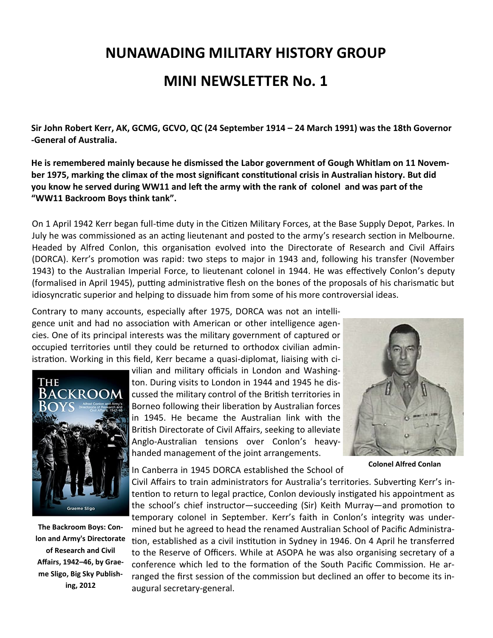## **NUNAWADING MILITARY HISTORY GROUP**

## **MINI NEWSLETTER No. 1**

**Sir John Robert Kerr, [AK,](https://en.wikipedia.org/wiki/Knight_of_the_Order_of_Australia) [GCMG,](https://en.wikipedia.org/wiki/Knight_Grand_Cross_of_the_Order_of_St_Michael_and_St_George) [GCVO,](https://en.wikipedia.org/wiki/Knight_Grand_Cross_of_the_Royal_Victorian_Order) [QC](https://en.wikipedia.org/wiki/Queen%27s_Counsel) (24 September 1914 – 24 March 1991) was the [18th Governor](https://en.wikipedia.org/wiki/List_of_Governors-General_of_Australia) -[General of Australia.](https://en.wikipedia.org/wiki/List_of_Governors-General_of_Australia)** 

**He is remembered mainly because he dismissed the [Labor](https://en.wikipedia.org/wiki/Australian_Labor_Party) government of [Gough Whitlam](https://en.wikipedia.org/wiki/Gough_Whitlam) on 11 November 1975, marking the climax of [the most significant constitutional crisis](https://en.wikipedia.org/wiki/1975_Australian_constitutional_crisis) in [Australian history.](https://en.wikipedia.org/wiki/Australian_history) But did you know he served during WW11 and left the army with the rank of colonel and was part of the "WW11 Backroom Boys think tank".**

On 1 April 1942 Kerr began full-time duty in the Citizen Military Forces, at the Base Supply Depot, Parkes. In July he was commissioned as an acting lieutenant and posted to the army's research section in Melbourne. Headed by Alfred Conlon, this organisation evolved into the Directorate of Research and Civil Affairs (DORCA). Kerr's promotion was rapid: two steps to major in 1943 and, following his transfer (November 1943) to the Australian Imperial Force, to lieutenant colonel in 1944. He was effectively Conlon's deputy (formalised in April 1945), putting administrative flesh on the bones of the proposals of his charismatic but idiosyncratic superior and helping to dissuade him from some of his more controversial ideas.

Contrary to many accounts, especially after 1975, DORCA was not an intelligence unit and had no association with American or other intelligence agencies. One of its principal interests was the military government of captured or occupied territories until they could be returned to orthodox civilian administration. Working in this field, Kerr became a quasi-diplomat, liaising with ci-



**The Backroom Boys: Conlon and Army's Directorate of Research and Civil Affairs, 1942–46, by Graeme Sligo, Big Sky Publishing, 2012** 

vilian and military officials in London and Washington. During visits to London in 1944 and 1945 he discussed the military control of the British territories in Borneo following their liberation by Australian forces in 1945. He became the Australian link with the British Directorate of Civil Affairs, seeking to alleviate Anglo-Australian tensions over Conlon's heavyhanded management of the joint arrangements.



**Colonel Alfred Conlan**

In Canberra in 1945 DORCA established the School of

Civil Affairs to train administrators for Australia's territories. Subverting Kerr's intention to return to legal practice, Conlon deviously instigated his appointment as the school's chief instructor—succeeding (Sir) Keith Murray—and promotion to temporary colonel in September. Kerr's faith in Conlon's integrity was undermined but he agreed to head the renamed Australian School of Pacific Administration, established as a civil institution in Sydney in 1946. On 4 April he transferred to the Reserve of Officers. While at ASOPA he was also organising secretary of a conference which led to the formation of the South Pacific Commission. He arranged the first session of the commission but declined an offer to become its inaugural secretary-general.